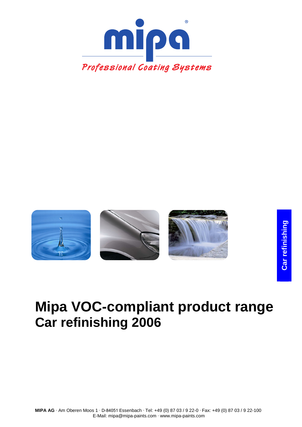



# **Mipa VOC-compliant product range Car refinishing 2006**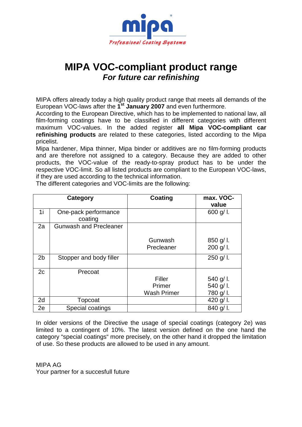

# **MIPA VOC-compliant product range For future car refinishing**

MIPA offers already today a high quality product range that meets all demands of the European VOC-laws after the **1 st January 2007** and even furthermore.

According to the European Directive, which has to be implemented to national law, all film-forming coatings have to be classified in different categories with different maximum VOC-values. In the added register **all Mipa VOC-compliant car refinishing products** are related to these categories, listed according to the Mipa pricelist.

Mipa hardener, Mipa thinner, Mipa binder or additives are no film-forming products and are therefore not assigned to a category. Because they are added to other products, the VOC-value of the ready-to-spray product has to be under the respective VOC-limit. So all listed products are compliant to the European VOC-laws, if they are used according to the technical information.

|                | Category                        | <b>Coating</b>     | max. VOC-<br>value |
|----------------|---------------------------------|--------------------|--------------------|
| 1i             | One-pack performance<br>coating |                    | 600 g/l.           |
| 2a             | <b>Gunwash and Precleaner</b>   |                    |                    |
|                |                                 | Gunwash            | $850$ g/l.         |
|                |                                 | Precleaner         | 200 g/l.           |
| 2 <sub>b</sub> | Stopper and body filler         |                    | $250$ g/l.         |
| 2c             | Precoat                         |                    |                    |
|                |                                 | Filler             | 540 g/l.           |
|                |                                 | Primer             | 540 g/l.           |
|                |                                 | <b>Wash Primer</b> | 780 g/l.           |
| 2d             | Topcoat                         |                    | 420 g/l.           |
| 2e             | Special coatings                |                    | 840 g/l.           |

The different categories and VOC-limits are the following:

In older versions of the Directive the usage of special coatings (category 2e) was limited to a contingent of 10%. The latest version defined on the one hand the category "special coatings" more precisely, on the other hand it dropped the limitation of use. So these products are allowed to be used in any amount.

MIPA AG Your partner for a succesfull future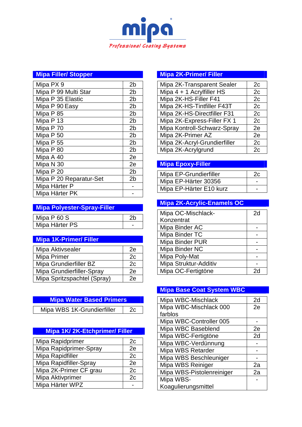

# **Mipa Filler/ Stopper**

| Mipa PX 9               | 2 <sub>b</sub> |
|-------------------------|----------------|
| Mipa P 99 Multi Star    | 2 <sub>b</sub> |
| Mipa P 35 Elastic       | 2 <sub>b</sub> |
| Mipa P 90 Easy          | 2 <sub>b</sub> |
| Mipa P 85               | 2 <sub>b</sub> |
| Mipa P 13               | 2 <sub>b</sub> |
| Mipa P 70               | 2 <sub>b</sub> |
| Mipa P 50               | 2 <sub>b</sub> |
| Mipa P 55               | 2 <sub>b</sub> |
| Mipa P 80               | 2 <sub>b</sub> |
| Mipa A 40               | 2e             |
| Mipa N 30               | 2e             |
| Mipa P 20               | 2 <sub>b</sub> |
| Mipa P 20 Reparatur-Set | 2 <sub>b</sub> |
| Mipa Härter P           |                |
| Mipa Härter PK          |                |

# **Mipa Polyester-Spray-Filler**

| Mipa $P$ 60 S  |  |
|----------------|--|
| Mipa Härter PS |  |

# **Mipa 1K-Primer/ Filler**

| Mipa Aktivsealer            | 2е |
|-----------------------------|----|
| Mipa Primer                 | 2c |
| Mipa Grundierfiller BZ      | 2c |
| Mipa Grundierfiller-Spray   | 2e |
| Mipa Spritzspachtel (Spray) | 2e |

# **Mipa Water Based Primers**  Mipa WBS 1K-Grundierfiller 2c

#### **Mipa 1K/ 2K-Etchprimer/ Filler**  Mina Papidprimer 20

┑

| iviipa Rapioprimer     | ZC |
|------------------------|----|
| Mipa Rapidprimer-Spray | 2e |
| Mipa Rapidfiller       | 2c |
| Mipa Rapidfiller-Spray | 2e |
| Mipa 2K-Primer CF grau | 2c |
| Mipa Aktivprimer       | 2c |
| Mipa Härter WPZ        |    |

#### **Mipa 2K-Primer/ Filler**

| Mipa 2K-Transparent Sealer   | 2c |
|------------------------------|----|
| Mipa $4 + 1$ Acrylfiller HS  | 2c |
| Mipa 2K-HS-Filler F41        | 2c |
| Mipa 2K-HS-Tintfiller F43T   | 2c |
| Mipa 2K-HS-Directfiller F31  | 2c |
| Mipa 2K-Express-Filler FX 1  | 2c |
| Mipa Kontroll-Schwarz-Spray  | 2e |
| Mipa 2K-Primer AZ            | 2e |
| Mipa 2K-Acryl-Grundierfiller | 2c |
| Mipa 2K-Acrylgrund           | 2c |

# **Mipa Epoxy-Filler**

| Mipa EP-Grundierfiller  |   |
|-------------------------|---|
| Mipa EP-Härter 30356    | - |
| Mipa EP-Härter E10 kurz | - |

# **Mipa 2K-Acrylic-Enamels OC**

| Mipa OC-Mischlack-     | 2d |
|------------------------|----|
| Konzentrat             |    |
| Mipa Binder AC         |    |
| Mipa Binder TC         |    |
| <b>Mipa Binder PUR</b> |    |
| Mipa Binder NC         |    |
| Mipa Poly-Mat          |    |
| Mipa Struktur-Additiv  |    |
| Mipa OC-Fertigtöne     |    |

### **Mipa Base Coat System WBC**

| Mipa WBC-Mischlack        | 2d |
|---------------------------|----|
| Mipa WBC-Mischlack 000    | 2e |
| farblos                   |    |
| Mipa WBC-Controller 005   |    |
| Mipa WBC Baseblend        | 2e |
| Mipa WBC-Fertigtöne       | 2d |
| Mipa WBC-Verdünnung       |    |
| Mipa WBS Retarder         |    |
| Mipa WBS Beschleuniger    |    |
| Mipa WBS Reiniger         | 2а |
| Mipa WBS-Pistolenreiniger | 2a |
| Mipa WBS-                 |    |
| Koagulierungsmittel       |    |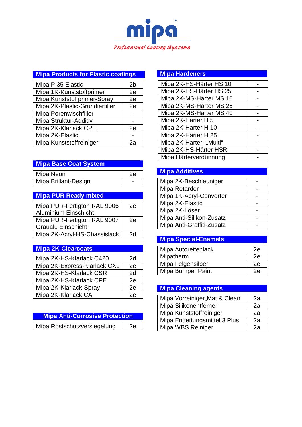

# **Mipa Products for Plastic coatings**

| Mipa P 35 Elastic              | 2b |
|--------------------------------|----|
| Mipa 1K-Kunststoffprimer       | 2e |
| Mipa Kunststoffprimer-Spray    | 2e |
| Mipa 2K-Plastic-Grundierfiller | 2e |
| Mipa Porenwischfiller          |    |
| Mipa Struktur-Additiv          |    |
| Mipa 2K-Klarlack CPE           | 2e |
| Mipa 2K-Elastic                |    |
| Mipa Kunststoffreiniger        |    |

#### **Mipa Base Coat System**

| Mipa Neon            |  |
|----------------------|--|
| Mipa Brillant-Design |  |

# **Mipa PUR Ready mixed**

| Mipa PUR-Fertigton RAL 9006  | 2e |
|------------------------------|----|
| <b>Aluminium Einschicht</b>  |    |
| Mipa PUR-Fertigton RAL 9007  | 2e |
| <b>Graualu Einschicht</b>    |    |
| Mipa 2K-Acryl-HS-Chassislack | 2d |

# **Mipa 2K-Clearcoats**

| Mipa 2K-HS-Klarlack C420     | 2d |
|------------------------------|----|
| Mipa 2K-Express-Klarlack CX1 | 2e |
| Mipa 2K-HS-Klarlack CSR      | 2d |
| Mipa 2K-HS-Klarlack CPE      | 2e |
| Mipa 2K-Klarlack-Spray       | 2e |
| Mipa 2K-Klarlack CA          | 2ρ |

| <b>Mipa Anti-Corrosive Protection</b> |    |
|---------------------------------------|----|
|                                       |    |
| Mipa Rostschutzversiegelung           | 2e |

# **Mipa Hardeners**

| Mipa 2K-HS-Härter HS 10 |  |
|-------------------------|--|
| Mipa 2K-HS-Härter HS 25 |  |
| Mipa 2K-MS-Härter MS 10 |  |
| Mipa 2K-MS-Härter MS 25 |  |
| Mipa 2K-MS-Härter MS 40 |  |
| Mipa 2K-Härter H 5      |  |
| Mipa 2K-Härter H 10     |  |
| Mipa 2K-Härter H 25     |  |
| Mipa 2K-Härter -"Multi" |  |
| Mipa 2K-HS-Härter HSR   |  |
| Mipa Härterverdünnung   |  |

# **Mipa Additives**

| Mipa 2K-Beschleuniger     |  |
|---------------------------|--|
| Mipa Retarder             |  |
| Mipa 1K-Acryl-Converter   |  |
| Mipa 2K-Elastic           |  |
| Mipa 2K-Löser             |  |
| Mipa Anti-Silikon-Zusatz  |  |
| Mipa Anti-Graffiti-Zusatz |  |

# **Mipa Special-Enamels**

| Mipa Autoreifenlack      | 2е |
|--------------------------|----|
| Mipatherm                | 2е |
| Mipa Felgensilber        | 2е |
| <b>Mipa Bumper Paint</b> |    |

# **Mipa Cleaning agents**

| Mipa Vorreiniger"Mat & Clean  | 2а |
|-------------------------------|----|
| Mipa Silikonentferner         | 2a |
| Mipa Kunststoffreiniger       | 2a |
| Mipa Entfettungsmittel 3 Plus | 2a |
| Mipa WBS Reiniger             | 2э |